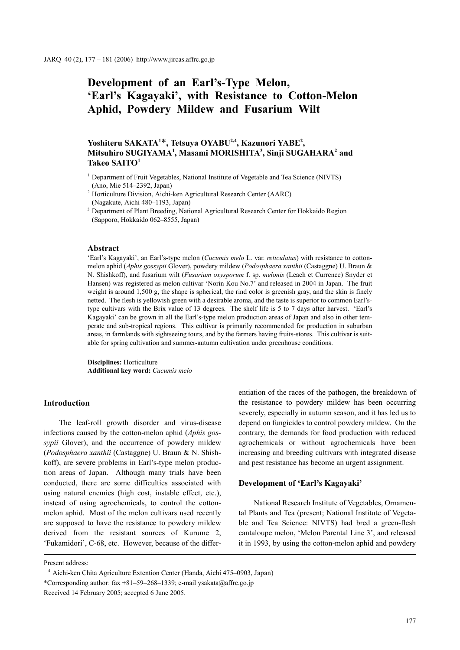# **Development of an Earl's-Type Melon, 'Earl's Kagayaki', with Resistance to Cotton-Melon Aphid, Powdery Mildew and Fusarium Wilt**

## Yoshiteru SAKATA<sup>1\*</sup>, Tetsuya OYABU<sup>2,4</sup>, Kazunori YABE<sup>2</sup>, **Mitsuhiro SUGIYAMA1 , Masami MORISHITA3 , Sinji SUGAHARA2 and Takeo SAITO1**

- <sup>1</sup> Department of Fruit Vegetables, National Institute of Vegetable and Tea Science (NIVTS) (Ano, Mie 514–2392, Japan)
- 2 Horticulture Division, Aichi-ken Agricultural Research Center (AARC) (Nagakute, Aichi 480–1193, Japan)
- <sup>3</sup> Department of Plant Breeding, National Agricultural Research Center for Hokkaido Region (Sapporo, Hokkaido 062–8555, Japan)

## **Abstract**

'Earl's Kagayaki', an Earl's-type melon (*Cucumis melo* L. var. *reticulatus*) with resistance to cottonmelon aphid (*Aphis gossypii* Glover), powdery mildew (*Podosphaera xanthii* (Castaggne) U. Braun & N. Shishkoff), and fusarium wilt (*Fusarium oxysporum* f. sp. *melonis* (Leach et Currence) Snyder et Hansen) was registered as melon cultivar 'Norin Kou No.7' and released in 2004 in Japan. The fruit weight is around 1,500 g, the shape is spherical, the rind color is greenish gray, and the skin is finely netted. The flesh is yellowish green with a desirable aroma, and the taste is superior to common Earl'stype cultivars with the Brix value of 13 degrees. The shelf life is 5 to 7 days after harvest. 'Earl's Kagayaki' can be grown in all the Earl's-type melon production areas of Japan and also in other temperate and sub-tropical regions. This cultivar is primarily recommended for production in suburban areas, in farmlands with sightseeing tours, and by the farmers having fruits-stores. This cultivar is suitable for spring cultivation and summer-autumn cultivation under greenhouse conditions.

**Disciplines:** Horticulture **Additional key word:** *Cucumis melo*

## **Introduction**

The leaf-roll growth disorder and virus-disease infections caused by the cotton-melon aphid (*Aphis gossypii* Glover), and the occurrence of powdery mildew (*Podosphaera xanthii* (Castaggne) U. Braun & N. Shishkoff), are severe problems in Earl's-type melon production areas of Japan. Although many trials have been conducted, there are some difficulties associated with using natural enemies (high cost, instable effect, etc.), instead of using agrochemicals, to control the cottonmelon aphid. Most of the melon cultivars used recently are supposed to have the resistance to powdery mildew derived from the resistant sources of Kurume 2, 'Fukamidori', C-68, etc. However, because of the differentiation of the races of the pathogen, the breakdown of the resistance to powdery mildew has been occurring severely, especially in autumn season, and it has led us to depend on fungicides to control powdery mildew. On the contrary, the demands for food production with reduced agrochemicals or without agrochemicals have been increasing and breeding cultivars with integrated disease and pest resistance has become an urgent assignment.

## **Development of 'Earl's Kagayaki'**

National Research Institute of Vegetables, Ornamental Plants and Tea (present; National Institute of Vegetable and Tea Science: NIVTS) had bred a green-flesh cantaloupe melon, 'Melon Parental Line 3', and released it in 1993, by using the cotton-melon aphid and powdery

Present address:

<sup>4</sup> Aichi-ken Chita Agriculture Extention Center (Handa, Aichi 475–0903, Japan) \*Corresponding author: fax +81–59–268–1339; e-mail ysakata@affrc.go.jp Received 14 February 2005; accepted 6 June 2005.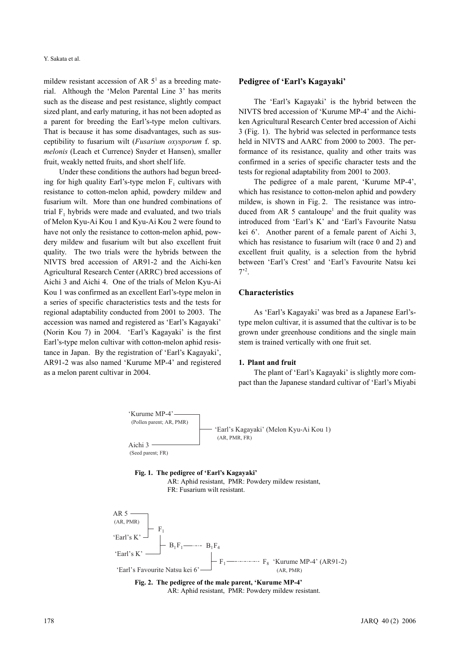mildew resistant accession of AR  $5<sup>1</sup>$  as a breeding material. Although the 'Melon Parental Line 3' has merits such as the disease and pest resistance, slightly compact sized plant, and early maturing, it has not been adopted as a parent for breeding the Earl's-type melon cultivars. That is because it has some disadvantages, such as susceptibility to fusarium wilt (*Fusarium oxysporum* f. sp. *melonis* (Leach et Currence) Snyder et Hansen), smaller fruit, weakly netted fruits, and short shelf life.

Under these conditions the authors had begun breeding for high quality Earl's-type melon  $F_1$  cultivars with resistance to cotton-melon aphid, powdery mildew and fusarium wilt. More than one hundred combinations of trial  $F_1$ , hybrids were made and evaluated, and two trials of Melon Kyu-Ai Kou 1 and Kyu-Ai Kou 2 were found to have not only the resistance to cotton-melon aphid, powdery mildew and fusarium wilt but also excellent fruit quality. The two trials were the hybrids between the NIVTS bred accession of AR91-2 and the Aichi-ken Agricultural Research Center (ARRC) bred accessions of Aichi 3 and Aichi 4. One of the trials of Melon Kyu-Ai Kou 1 was confirmed as an excellent Earl's-type melon in a series of specific characteristics tests and the tests for regional adaptability conducted from 2001 to 2003. The accession was named and registered as 'Earl's Kagayaki' (Norin Kou 7) in 2004. 'Earl's Kagayaki' is the first Earl's-type melon cultivar with cotton-melon aphid resistance in Japan. By the registration of 'Earl's Kagayaki', AR91-2 was also named 'Kurume MP-4' and registered as a melon parent cultivar in 2004.

#### **Pedigree of 'Earl's Kagayaki'**

The 'Earl's Kagayaki' is the hybrid between the NIVTS bred accession of 'Kurume MP-4' and the Aichiken Agricultural Research Center bred accession of Aichi 3 (Fig. 1). The hybrid was selected in performance tests held in NIVTS and AARC from 2000 to 2003. The performance of its resistance, quality and other traits was confirmed in a series of specific character tests and the tests for regional adaptability from 2001 to 2003.

The pedigree of a male parent, 'Kurume MP-4', which has resistance to cotton-melon aphid and powdery mildew, is shown in Fig. 2. The resistance was introduced from AR 5 cantaloupe<sup>1</sup> and the fruit quality was introduced from 'Earl's K' and 'Earl's Favourite Natsu kei 6'. Another parent of a female parent of Aichi 3, which has resistance to fusarium wilt (race 0 and 2) and excellent fruit quality, is a selection from the hybrid between 'Earl's Crest' and 'Earl's Favourite Natsu kei  $7'$ <sup>2</sup>.

## **Characteristics**

As 'Earl's Kagayaki' was bred as a Japanese Earl'stype melon cultivar, it is assumed that the cultivar is to be grown under greenhouse conditions and the single main stem is trained vertically with one fruit set.

#### **1. Plant and fruit**

The plant of 'Earl's Kagayaki' is slightly more compact than the Japanese standard cultivar of 'Earl's Miyabi



## **Fig. 1. The pedigree of 'Earl's Kagayaki'**

AR: Aphid resistant, PMR: Powdery mildew resistant, FR: Fusarium wilt resistant.

 $AR$  5 - (AR, PMR)  $F_1$ 'Earl's K'  $B_1F_1 \longrightarrow B_1F_4$  'Earl's K' F1 F8 'Kurume MP-4' (AR91-2) 'Earl's Favourite Natsu kei 6'<sup>-1</sup> (AR, PMR)

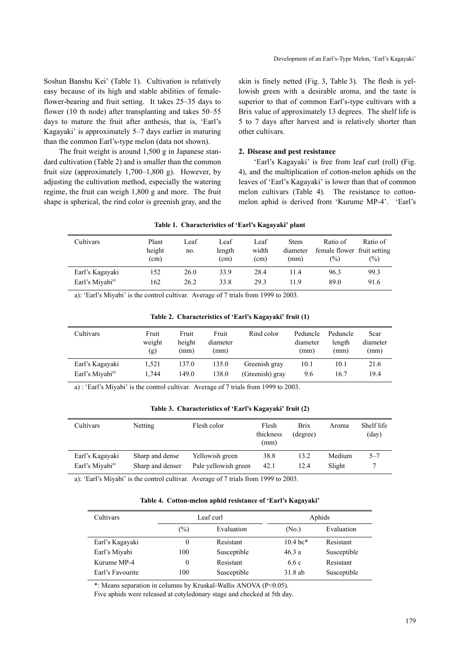Soshun Banshu Kei' (Table 1). Cultivation is relatively easy because of its high and stable abilities of femaleflower-bearing and fruit setting. It takes 25–35 days to flower (10 th node) after transplanting and takes 50–55 days to mature the fruit after anthesis, that is, 'Earl's Kagayaki' is approximately 5–7 days earlier in maturing than the common Earl's-type melon (data not shown).

The fruit weight is around 1,500 g in Japanese standard cultivation (Table 2) and is smaller than the common fruit size (approximately 1,700–1,800 g). However, by adjusting the cultivation method, especially the watering regime, the fruit can weigh 1,800 g and more. The fruit shape is spherical, the rind color is greenish gray, and the skin is finely netted (Fig. 3, Table 3). The flesh is yellowish green with a desirable aroma, and the taste is superior to that of common Earl's-type cultivars with a Brix value of approximately 13 degrees. The shelf life is 5 to 7 days after harvest and is relatively shorter than other cultivars.

#### **2. Disease and pest resistance**

'Earl's Kagayaki' is free from leaf curl (roll) (Fig. 4), and the multiplication of cotton-melon aphids on the leaves of 'Earl's Kagayaki' is lower than that of common melon cultivars (Table 4). The resistance to cottonmelon aphid is derived from 'Kurume MP-4'. 'Earl's

|                             |                         |             | Table 1. Characteristics of Earl's Isagayani piant |                                    |                                 |                                                           |                    |
|-----------------------------|-------------------------|-------------|----------------------------------------------------|------------------------------------|---------------------------------|-----------------------------------------------------------|--------------------|
| Cultivars                   | Plant<br>height<br>(cm) | Leaf<br>no. | Leaf<br>length<br>(cm)                             | Leaf<br>width<br>(c <sub>m</sub> ) | <b>Stem</b><br>diameter<br>(mm) | Ratio of<br>female flower fruit setting<br>$\binom{0}{0}$ | Ratio of<br>$(\%)$ |
| Earl's Kagayaki             | 152                     | 26.0        | 33.9                                               | 28.4                               | 114                             | 96.3                                                      | 99.3               |
| Earl's Miyabi <sup>a)</sup> | 162                     | 26.2        | 33.8                                               | 29.3                               | 119                             | 89.0                                                      | 91.6               |

### **Table 1. Characteristics of 'Earl's Kagayaki' plant**

a): 'Earl's Miyabi' is the control cultivar. Average of 7 trials from 1999 to 2003.

| Table 2. Characteristics of 'Earl's Kagayaki' fruit (1) |  |  |
|---------------------------------------------------------|--|--|
|                                                         |  |  |

| Cultivars                   | Fruit<br>weight<br>(g) | Fruit<br>height<br>(mm) | Fruit<br>diameter<br>(mm) | Rind color      | Peduncle<br>diameter<br>(mm) | Peduncle<br>length<br>(mm) | Scar<br>diameter<br>(mm) |
|-----------------------------|------------------------|-------------------------|---------------------------|-----------------|------------------------------|----------------------------|--------------------------|
| Earl's Kagayaki             | 1.521                  | 137.0                   | 135.0                     | Greenish gray   | 10.1                         | 10.1                       | 21.6                     |
| Earl's Miyabi <sup>a)</sup> | 1.744                  | 149.0                   | 138.0                     | (Greenish) grav | 9.6                          | 16.7                       | 19.4                     |

a) : 'Earl's Miyabi' is the control cultivar. Average of 7 trials from 1999 to 2003.

**Table 3. Characteristics of 'Earl's Kagayaki' fruit (2)**

| Cultivars                   | Netting          | Flesh color          | Flesh<br>thickness<br>(mm) | <b>Brix</b><br>(degree) | Aroma  | Shelf life<br>$\text{(day)}$ |
|-----------------------------|------------------|----------------------|----------------------------|-------------------------|--------|------------------------------|
| Earl's Kagayaki             | Sharp and dense  | Yellowish green      | 38.8                       | 13.2                    | Medium | $5 - 7$                      |
| Earl's Miyabi <sup>a)</sup> | Sharp and denser | Pale yellowish green | 42.1                       | 12.4                    | Slight |                              |

a): 'Earl's Miyabi' is the control cultivar. Average of 7 trials from 1999 to 2003.

| Table 4. Cotton-melon aphid resistance of 'Earl's Kagayaki' |  |  |
|-------------------------------------------------------------|--|--|
|                                                             |  |  |

| Cultivars        |          | Leaf curl   | Aphids             |             |  |
|------------------|----------|-------------|--------------------|-------------|--|
|                  | (%)      | Evaluation  | (No.)              | Evaluation  |  |
| Earl's Kagayaki  |          | Resistant   | $10.4 \text{ bc*}$ | Resistant   |  |
| Earl's Miyabi    | 100      | Susceptible | 46.3a              | Susceptible |  |
| Kurume MP-4      | $\Omega$ | Resistant   | 6.6 c              | Resistant   |  |
| Earl's Favourite | 100      | Susceptible | 31.8ab             | Susceptible |  |

\*: Means separation in columns by Kruskal-Wallis ANOVA (P<0.05).

Five aphids were released at cotyledonary stage and checked at 5th day.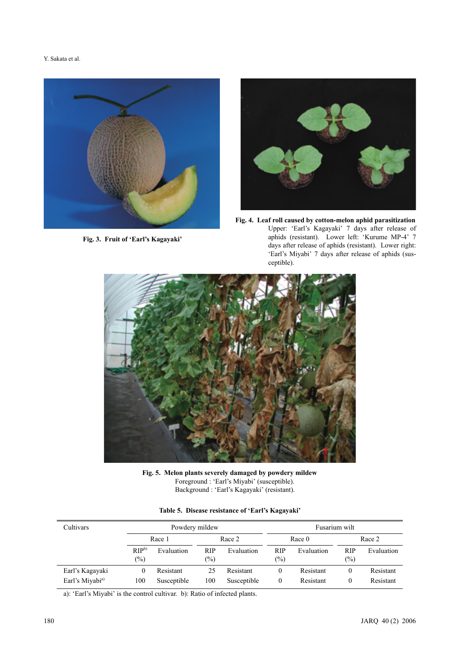Y. Sakata et al.



**Fig. 3. Fruit of 'Earl's Kagayaki'**



**Fig. 4. Leaf roll caused by cotton-melon aphid parasitization** Upper: 'Earl's Kagayaki' 7 days after release of aphids (resistant). Lower left: 'Kurume MP-4' 7 days after release of aphids (resistant). Lower right: 'Earl's Miyabi' 7 days after release of aphids (susceptible).



**Fig. 5. Melon plants severely damaged by powdery mildew** Foreground : 'Earl's Miyabi' (susceptible). Background : 'Earl's Kagayaki' (resistant).

|  |  |  |  | Table 5. Disease resistance of 'Earl's Kagayaki' |
|--|--|--|--|--------------------------------------------------|
|--|--|--|--|--------------------------------------------------|

| Cultivars                   |                            | Powdery mildew |                      |             |               | Fusarium wilt |                      |            |  |
|-----------------------------|----------------------------|----------------|----------------------|-------------|---------------|---------------|----------------------|------------|--|
|                             | Race 1                     |                | Race 2               |             | Race 0        |               | Race 2               |            |  |
|                             | RIP <sub>b</sub><br>$(\%)$ | Evaluation     | <b>RIP</b><br>$(\%)$ | Evaluation  | RIP<br>$(\%)$ | Evaluation    | <b>RIP</b><br>$(\%)$ | Evaluation |  |
| Earl's Kagayaki             | 0                          | Resistant      | 25                   | Resistant   | 0             | Resistant     | 0                    | Resistant  |  |
| Earl's Miyabi <sup>a)</sup> | 100                        | Susceptible    | 100                  | Susceptible | 0             | Resistant     | 0                    | Resistant  |  |

a): 'Earl's Miyabi' is the control cultivar. b): Ratio of infected plants.